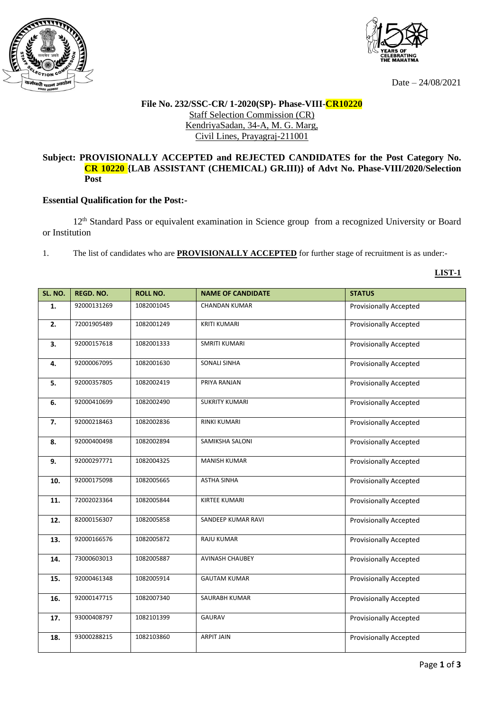



Date – 24/08/2021

## **File No. 232/SSC-CR/ 1-2020(SP)- Phase-VIII-CR10220** Staff Selection Commission (CR) KendriyaSadan, 34-A, M. G. Marg, Civil Lines, Prayagraj-211001

## **Subject: PROVISIONALLY ACCEPTED and REJECTED CANDIDATES for the Post Category No. CR 10220 {LAB ASSISTANT (CHEMICAL) GR.III)} of Advt No. Phase-VIII/2020/Selection Post**

## **Essential Qualification for the Post:-**

12th Standard Pass or equivalent examination in Science group from a recognized University or Board or Institution

1. The list of candidates who are **PROVISIONALLY ACCEPTED** for further stage of recruitment is as under:-

**LIST-1**

| SL. NO. | <b>REGD. NO.</b> | <b>ROLL NO.</b> | <b>NAME OF CANDIDATE</b> | <b>STATUS</b>                 |
|---------|------------------|-----------------|--------------------------|-------------------------------|
|         |                  |                 |                          |                               |
| 1.      | 92000131269      | 1082001045      | <b>CHANDAN KUMAR</b>     | <b>Provisionally Accepted</b> |
| 2.      | 72001905489      | 1082001249      | <b>KRITI KUMARI</b>      | <b>Provisionally Accepted</b> |
| 3.      | 92000157618      | 1082001333      | <b>SMRITI KUMARI</b>     | <b>Provisionally Accepted</b> |
| 4.      | 92000067095      | 1082001630      | <b>SONALI SINHA</b>      | <b>Provisionally Accepted</b> |
| 5.      | 92000357805      | 1082002419      | PRIYA RANJAN             | <b>Provisionally Accepted</b> |
| 6.      | 92000410699      | 1082002490      | <b>SUKRITY KUMARI</b>    | <b>Provisionally Accepted</b> |
| 7.      | 92000218463      | 1082002836      | <b>RINKI KUMARI</b>      | <b>Provisionally Accepted</b> |
| 8.      | 92000400498      | 1082002894      | SAMIKSHA SALONI          | <b>Provisionally Accepted</b> |
| 9.      | 92000297771      | 1082004325      | <b>MANISH KUMAR</b>      | <b>Provisionally Accepted</b> |
| 10.     | 92000175098      | 1082005665      | <b>ASTHA SINHA</b>       | <b>Provisionally Accepted</b> |
| 11.     | 72002023364      | 1082005844      | <b>KIRTEE KUMARI</b>     | <b>Provisionally Accepted</b> |
| 12.     | 82000156307      | 1082005858      | SANDEEP KUMAR RAVI       | Provisionally Accepted        |
| 13.     | 92000166576      | 1082005872      | <b>RAJU KUMAR</b>        | <b>Provisionally Accepted</b> |
| 14.     | 73000603013      | 1082005887      | <b>AVINASH CHAUBEY</b>   | Provisionally Accepted        |
| 15.     | 92000461348      | 1082005914      | <b>GAUTAM KUMAR</b>      | <b>Provisionally Accepted</b> |
| 16.     | 92000147715      | 1082007340      | SAURABH KUMAR            | <b>Provisionally Accepted</b> |
| 17.     | 93000408797      | 1082101399      | <b>GAURAV</b>            | <b>Provisionally Accepted</b> |
| 18.     | 93000288215      | 1082103860      | <b>ARPIT JAIN</b>        | <b>Provisionally Accepted</b> |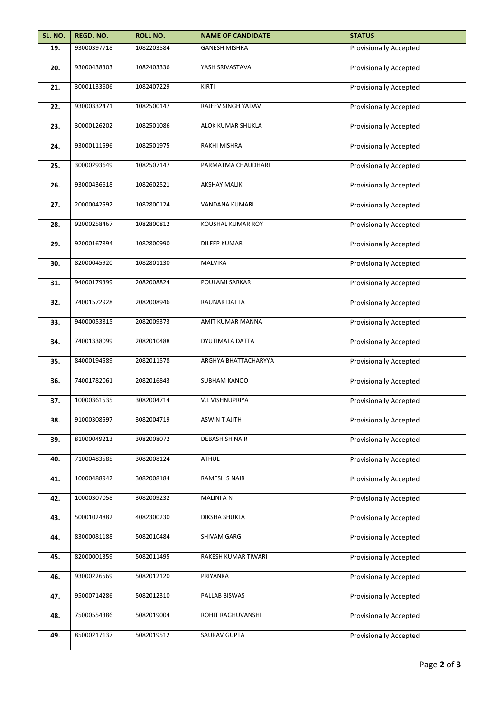| SL. NO. | REGD. NO.   | <b>ROLL NO.</b> | <b>NAME OF CANDIDATE</b> | <b>STATUS</b>                 |
|---------|-------------|-----------------|--------------------------|-------------------------------|
| 19.     | 93000397718 | 1082203584      | <b>GANESH MISHRA</b>     | <b>Provisionally Accepted</b> |
| 20.     | 93000438303 | 1082403336      | YASH SRIVASTAVA          | Provisionally Accepted        |
| 21.     | 30001133606 | 1082407229      | KIRTI                    | <b>Provisionally Accepted</b> |
| 22.     | 93000332471 | 1082500147      | RAJEEV SINGH YADAV       | <b>Provisionally Accepted</b> |
| 23.     | 30000126202 | 1082501086      | ALOK KUMAR SHUKLA        | <b>Provisionally Accepted</b> |
| 24.     | 93000111596 | 1082501975      | RAKHI MISHRA             | <b>Provisionally Accepted</b> |
| 25.     | 30000293649 | 1082507147      | PARMATMA CHAUDHARI       | <b>Provisionally Accepted</b> |
| 26.     | 93000436618 | 1082602521      | <b>AKSHAY MALIK</b>      | <b>Provisionally Accepted</b> |
| 27.     | 20000042592 | 1082800124      | VANDANA KUMARI           | <b>Provisionally Accepted</b> |
| 28.     | 92000258467 | 1082800812      | <b>KOUSHAL KUMAR ROY</b> | <b>Provisionally Accepted</b> |
| 29.     | 92000167894 | 1082800990      | <b>DILEEP KUMAR</b>      | <b>Provisionally Accepted</b> |
| 30.     | 82000045920 | 1082801130      | <b>MALVIKA</b>           | <b>Provisionally Accepted</b> |
| 31.     | 94000179399 | 2082008824      | POULAMI SARKAR           | <b>Provisionally Accepted</b> |
| 32.     | 74001572928 | 2082008946      | RAUNAK DATTA             | <b>Provisionally Accepted</b> |
| 33.     | 94000053815 | 2082009373      | AMIT KUMAR MANNA         | <b>Provisionally Accepted</b> |
| 34.     | 74001338099 | 2082010488      | DYUTIMALA DATTA          | <b>Provisionally Accepted</b> |
| 35.     | 84000194589 | 2082011578      | ARGHYA BHATTACHARYYA     | Provisionally Accepted        |
| 36.     | 74001782061 | 2082016843      | SUBHAM KANOO             | <b>Provisionally Accepted</b> |
| 37.     | 10000361535 | 3082004714      | <b>V.L VISHNUPRIYA</b>   | <b>Provisionally Accepted</b> |
| 38.     | 91000308597 | 3082004719      | <b>ASWINT AJITH</b>      | <b>Provisionally Accepted</b> |
| 39.     | 81000049213 | 3082008072      | <b>DEBASHISH NAIR</b>    | <b>Provisionally Accepted</b> |
| 40.     | 71000483585 | 3082008124      | <b>ATHUL</b>             | <b>Provisionally Accepted</b> |
| 41.     | 10000488942 | 3082008184      | RAMESH S NAIR            | <b>Provisionally Accepted</b> |
| 42.     | 10000307058 | 3082009232      | <b>MALINI A N</b>        | <b>Provisionally Accepted</b> |
| 43.     | 50001024882 | 4082300230      | DIKSHA SHUKLA            | <b>Provisionally Accepted</b> |
| 44.     | 83000081188 | 5082010484      | SHIVAM GARG              | Provisionally Accepted        |
| 45.     | 82000001359 | 5082011495      | RAKESH KUMAR TIWARI      | <b>Provisionally Accepted</b> |
| 46.     | 93000226569 | 5082012120      | PRIYANKA                 | <b>Provisionally Accepted</b> |
| 47.     | 95000714286 | 5082012310      | PALLAB BISWAS            | <b>Provisionally Accepted</b> |
| 48.     | 75000554386 | 5082019004      | ROHIT RAGHUVANSHI        | Provisionally Accepted        |
| 49.     | 85000217137 | 5082019512      | SAURAV GUPTA             | <b>Provisionally Accepted</b> |